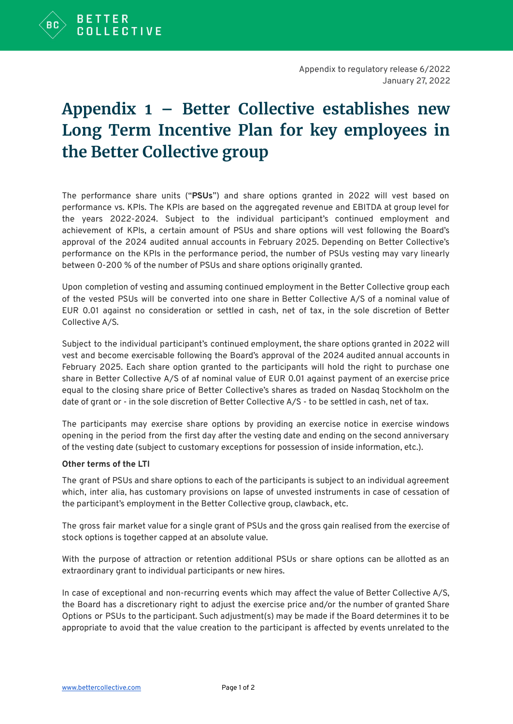

## **Appendix 1 – Better Collective establishes new Long Term Incentive Plan for key employees in the Better Collective group**

The performance share units ("**PSUs**") and share options granted in 2022 will vest based on performance vs. KPIs. The KPIs are based on the aggregated revenue and EBITDA at group level for the years 2022-2024. Subject to the individual participant's continued employment and achievement of KPIs, a certain amount of PSUs and share options will vest following the Board's approval of the 2024 audited annual accounts in February 2025. Depending on Better Collective's performance on the KPIs in the performance period, the number of PSUs vesting may vary linearly between 0-200 % of the number of PSUs and share options originally granted.

Upon completion of vesting and assuming continued employment in the Better Collective group each of the vested PSUs will be converted into one share in Better Collective A/S of a nominal value of EUR 0.01 against no consideration or settled in cash, net of tax, in the sole discretion of Better Collective A/S.

Subject to the individual participant's continued employment, the share options granted in 2022 will vest and become exercisable following the Board's approval of the 2024 audited annual accounts in February 2025. Each share option granted to the participants will hold the right to purchase one share in Better Collective A/S of af nominal value of EUR 0.01 against payment of an exercise price equal to the closing share price of Better Collective's shares as traded on Nasdaq Stockholm on the date of grant or - in the sole discretion of Better Collective A/S - to be settled in cash, net of tax.

The participants may exercise share options by providing an exercise notice in exercise windows opening in the period from the first day after the vesting date and ending on the second anniversary of the vesting date (subject to customary exceptions for possession of inside information, etc.).

## **Other terms of the LTI**

The grant of PSUs and share options to each of the participants is subject to an individual agreement which, inter alia, has customary provisions on lapse of unvested instruments in case of cessation of the participant's employment in the Better Collective group, clawback, etc.

The gross fair market value for a single grant of PSUs and the gross gain realised from the exercise of stock options is together capped at an absolute value.

With the purpose of attraction or retention additional PSUs or share options can be allotted as an extraordinary grant to individual participants or new hires.

In case of exceptional and non-recurring events which may affect the value of Better Collective A/S, the Board has a discretionary right to adjust the exercise price and/or the number of granted Share Options or PSUs to the participant. Such adjustment(s) may be made if the Board determines it to be appropriate to avoid that the value creation to the participant is affected by events unrelated to the